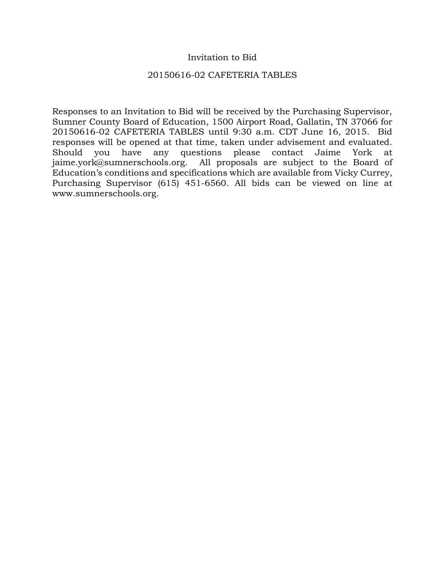### Invitation to Bid

### 20150616-02 CAFETERIA TABLES

Responses to an Invitation to Bid will be received by the Purchasing Supervisor, Sumner County Board of Education, 1500 Airport Road, Gallatin, TN 37066 for 20150616-02 CAFETERIA TABLES until 9:30 a.m. CDT June 16, 2015. Bid responses will be opened at that time, taken under advisement and evaluated. Should you have any questions please contact Jaime York at jaime.york@sumnerschools.org. All proposals are subject to the Board of Education's conditions and specifications which are available from Vicky Currey, Purchasing Supervisor (615) 451-6560. All bids can be viewed on line at www.sumnerschools.org.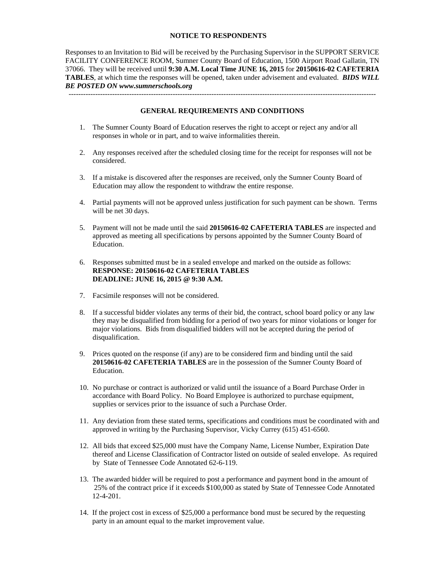#### **NOTICE TO RESPONDENTS**

Responses to an Invitation to Bid will be received by the Purchasing Supervisor in the SUPPORT SERVICE FACILITY CONFERENCE ROOM, Sumner County Board of Education, 1500 Airport Road Gallatin, TN 37066. They will be received until **9:30 A.M. Local Time JUNE 16, 2015** for **20150616-02 CAFETERIA TABLES**, at which time the responses will be opened, taken under advisement and evaluated. *BIDS WILL BE POSTED ON www.sumnerschools.org* 

**GENERAL REQUIREMENTS AND CONDITIONS** 

-------------------------------------------------------------------------------------------------------------------------------

- 1. The Sumner County Board of Education reserves the right to accept or reject any and/or all responses in whole or in part, and to waive informalities therein.
- 2. Any responses received after the scheduled closing time for the receipt for responses will not be considered.
- 3. If a mistake is discovered after the responses are received, only the Sumner County Board of Education may allow the respondent to withdraw the entire response.
- 4. Partial payments will not be approved unless justification for such payment can be shown. Terms will be net 30 days.
- 5. Payment will not be made until the said **20150616-02 CAFETERIA TABLES** are inspected and approved as meeting all specifications by persons appointed by the Sumner County Board of Education.
- 6. Responses submitted must be in a sealed envelope and marked on the outside as follows: **RESPONSE: 20150616-02 CAFETERIA TABLES DEADLINE: JUNE 16, 2015 @ 9:30 A.M.**
- 7. Facsimile responses will not be considered.
- 8. If a successful bidder violates any terms of their bid, the contract, school board policy or any law they may be disqualified from bidding for a period of two years for minor violations or longer for major violations. Bids from disqualified bidders will not be accepted during the period of disqualification.
- 9. Prices quoted on the response (if any) are to be considered firm and binding until the said **20150616-02 CAFETERIA TABLES** are in the possession of the Sumner County Board of Education.
- 10. No purchase or contract is authorized or valid until the issuance of a Board Purchase Order in accordance with Board Policy. No Board Employee is authorized to purchase equipment, supplies or services prior to the issuance of such a Purchase Order.
- 11. Any deviation from these stated terms, specifications and conditions must be coordinated with and approved in writing by the Purchasing Supervisor, Vicky Currey (615) 451-6560.
- 12. All bids that exceed \$25,000 must have the Company Name, License Number, Expiration Date thereof and License Classification of Contractor listed on outside of sealed envelope. As required by State of Tennessee Code Annotated 62-6-119.
- 13. The awarded bidder will be required to post a performance and payment bond in the amount of 25% of the contract price if it exceeds \$100,000 as stated by State of Tennessee Code Annotated 12-4-201.
- 14. If the project cost in excess of \$25,000 a performance bond must be secured by the requesting party in an amount equal to the market improvement value.